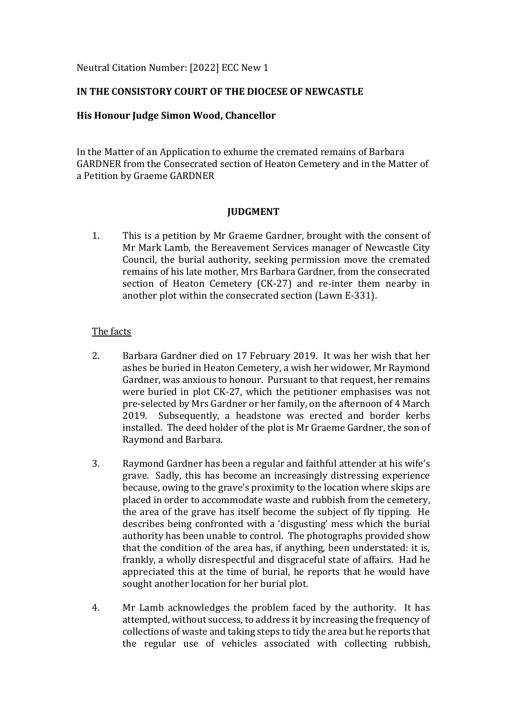## Neutral Citation Number: [2022] ECC New 1

## **IN THE CONSISTORY COURT OF THE DIOCESE OF NEWCASTLE**

## **His Honour Judge Simon Wood, Chancellor**

In the Matter of an Application to exhume the cremated remains of Barbara GARDNER from the Consecrated section of Heaton Cemetery and in the Matter of a Petition by Graeme GARDNER

## **JUDGMENT**

1. This is a petition by Mr Graeme Gardner, brought with the consent of Mr Mark Lamb, the Bereavement Services manager of Newcastle City Council, the burial authority, seeking permission move the cremated remains of his late mother, Mrs Barbara Gardner, from the consecrated section of Heaton Cemetery (CK-27) and re-inter them nearby in another plot within the consecrated section (Lawn E-331).

## The facts

- 2. Barbara Gardner died on 17 February 2019. It was her wish that her ashes be buried in Heaton Cemetery, a wish her widower, Mr Raymond Gardner, was anxious to honour. Pursuant to that request, her remains were buried in plot CK-27, which the petitioner emphasises was not pre-selected by Mrs Gardner or her family, on the afternoon of 4 March 2019. Subsequently, a headstone was erected and border kerbs installed. The deed holder of the plot is Mr Graeme Gardner, the son of Raymond and Barbara.
- 3. Raymond Gardner has been a regular and faithful attender at his wife's grave. Sadly, this has become an increasingly distressing experience because, owing to the grave's proximity to the location where skips are placed in order to accommodate waste and rubbish from the cemetery, the area of the grave has itself become the subject of fly tipping. He describes being confronted with a 'disgusting' mess which the burial authority has been unable to control. The photographs provided show that the condition of the area has, if anything, been understated: it is, frankly, a wholly disrespectful and disgraceful state of affairs. Had he appreciated this at the time of burial, he reports that he would have sought another location for her burial plot.
- 4. Mr Lamb acknowledges the problem faced by the authority. It has attempted, without success, to address it by increasing the frequency of collections of waste and taking steps to tidy the area but he reports that the regular use of vehicles associated with collecting rubbish,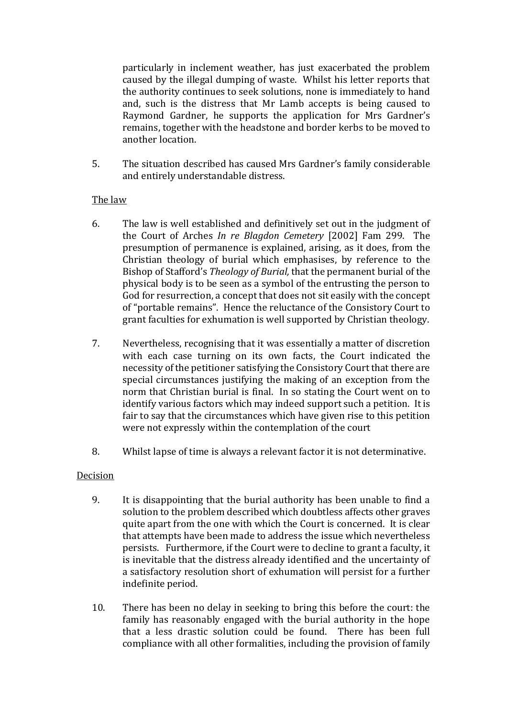particularly in inclement weather, has just exacerbated the problem caused by the illegal dumping of waste. Whilst his letter reports that the authority continues to seek solutions, none is immediately to hand and, such is the distress that Mr Lamb accepts is being caused to Raymond Gardner, he supports the application for Mrs Gardner's remains, together with the headstone and border kerbs to be moved to another location.

5. The situation described has caused Mrs Gardner's family considerable and entirely understandable distress.

# The law

- 6. The law is well established and definitively set out in the judgment of the Court of Arches *In re Blagdon Cemetery* [2002] Fam 299. The presumption of permanence is explained, arising, as it does, from the Christian theology of burial which emphasises, by reference to the Bishop of Stafford's *Theology of Burial,* that the permanent burial of the physical body is to be seen as a symbol of the entrusting the person to God for resurrection, a concept that does not sit easily with the concept of "portable remains". Hence the reluctance of the Consistory Court to grant faculties for exhumation is well supported by Christian theology.
- 7. Nevertheless, recognising that it was essentially a matter of discretion with each case turning on its own facts, the Court indicated the necessity of the petitioner satisfying the Consistory Court that there are special circumstances justifying the making of an exception from the norm that Christian burial is final. In so stating the Court went on to identify various factors which may indeed support such a petition. It is fair to say that the circumstances which have given rise to this petition were not expressly within the contemplation of the court
- 8. Whilst lapse of time is always a relevant factor it is not determinative.

# Decision

- 9. It is disappointing that the burial authority has been unable to find a solution to the problem described which doubtless affects other graves quite apart from the one with which the Court is concerned. It is clear that attempts have been made to address the issue which nevertheless persists. Furthermore, if the Court were to decline to grant a faculty, it is inevitable that the distress already identified and the uncertainty of a satisfactory resolution short of exhumation will persist for a further indefinite period.
- 10. There has been no delay in seeking to bring this before the court: the family has reasonably engaged with the burial authority in the hope that a less drastic solution could be found. There has been full compliance with all other formalities, including the provision of family